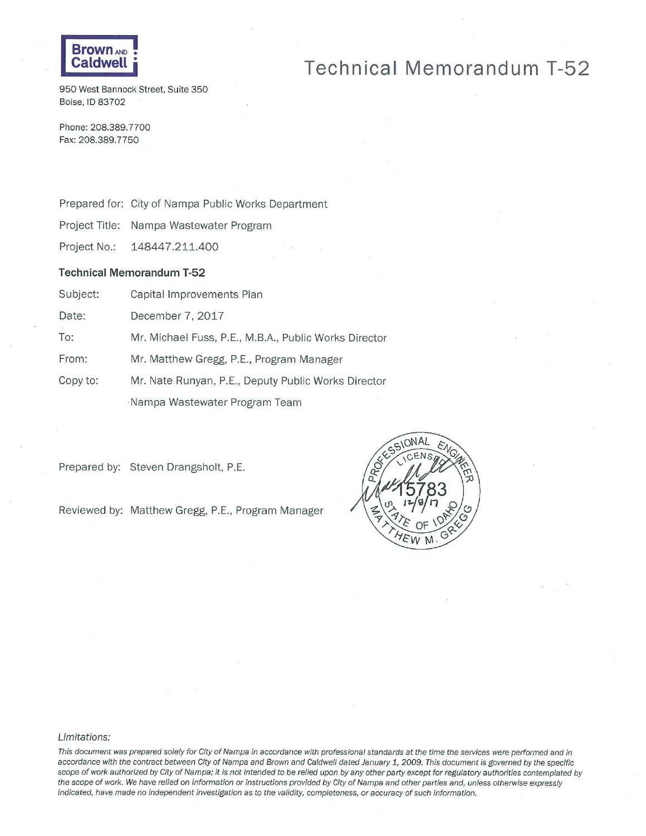

# **Technical Memorandum T-52**

950 West Bannock Street, Suite 350 Boise, ID 83702

Phone: 208.389.7700 Fax: 208.389.7750

Prepared for: City of Nampa Public Works Department

Project Title: Nampa Wastewater Program

Project No.: 148447.211.400

#### **Technical Memorandum T-52**

Subject: Capital Improvements Plan

Date: December 7, 2017

To: Mr. Michael Fuss, P.E., M.B.A., Public Works Director

From: Mr. Matthew Gregg, P.E., Program Manager

Copy to: Mr. Nate Runyan, P.E., Deputy Public Works Director

Nampa Wastewater Program Team

Prepared by: Steven Drangsholt, P.E.

Reviewed by: Matthew Gregg, P.E., Program Manager



#### Limitations:

This document was prepared solely for City of Nampa in accordance with professional standards at the time the services were performed and in accordance with the contract between City of Nampa and Brown and Caldwell dated January 1, 2009. This document is governed by the specific scope of work authorized by City of Nampa; it is not intended to be relied upon by any other party except for regulatory authorities contemplated by the scope of work. We have relied on information or instructions provided by City of Nampa and other parties and, unless otherwise expressly indicated, have made no independent investigation as to the validity, completeness, or accuracy of such information.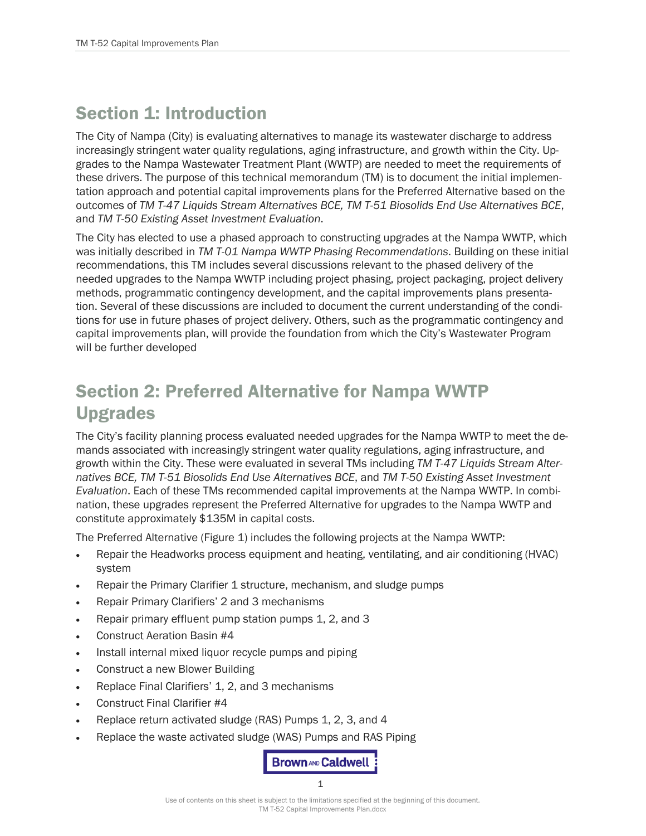## Section 1: Introduction

The City of Nampa (City) is evaluating alternatives to manage its wastewater discharge to address increasingly stringent water quality regulations, aging infrastructure, and growth within the City. Upgrades to the Nampa Wastewater Treatment Plant (WWTP) are needed to meet the requirements of these drivers. The purpose of this technical memorandum (TM) is to document the initial implementation approach and potential capital improvements plans for the Preferred Alternative based on the outcomes of *TM T-47 Liquids Stream Alternatives BCE, TM T-51 Biosolids End Use Alternatives BCE*, and *TM T-50 Existing Asset Investment Evaluation*.

The City has elected to use a phased approach to constructing upgrades at the Nampa WWTP, which was initially described in *TM T-01 Nampa WWTP Phasing Recommendations*. Building on these initial recommendations, this TM includes several discussions relevant to the phased delivery of the needed upgrades to the Nampa WWTP including project phasing, project packaging, project delivery methods, programmatic contingency development, and the capital improvements plans presentation. Several of these discussions are included to document the current understanding of the conditions for use in future phases of project delivery. Others, such as the programmatic contingency and capital improvements plan, will provide the foundation from which the City's Wastewater Program will be further developed

# Section 2: Preferred Alternative for Nampa WWTP Upgrades

The City's facility planning process evaluated needed upgrades for the Nampa WWTP to meet the demands associated with increasingly stringent water quality regulations, aging infrastructure, and growth within the City. These were evaluated in several TMs including *TM T-47 Liquids Stream Alternatives BCE, TM T-51 Biosolids End Use Alternatives BCE*, and *TM T-50 Existing Asset Investment Evaluation*. Each of these TMs recommended capital improvements at the Nampa WWTP. In combination, these upgrades represent the Preferred Alternative for upgrades to the Nampa WWTP and constitute approximately \$135M in capital costs.

The Preferred Alternative [\(Figure 1\)](#page-3-0) includes the following projects at the Nampa WWTP:

- Repair the Headworks process equipment and heating, ventilating, and air conditioning (HVAC) system
- Repair the Primary Clarifier 1 structure, mechanism, and sludge pumps
- Repair Primary Clarifiers' 2 and 3 mechanisms
- Repair primary effluent pump station pumps 1, 2, and 3
- Construct Aeration Basin #4
- Install internal mixed liquor recycle pumps and piping
- Construct a new Blower Building
- Replace Final Clarifiers' 1, 2, and 3 mechanisms
- Construct Final Clarifier #4
- Replace return activated sludge (RAS) Pumps 1, 2, 3, and 4
- Replace the waste activated sludge (WAS) Pumps and RAS Piping

**Brown AND Caldwell** 1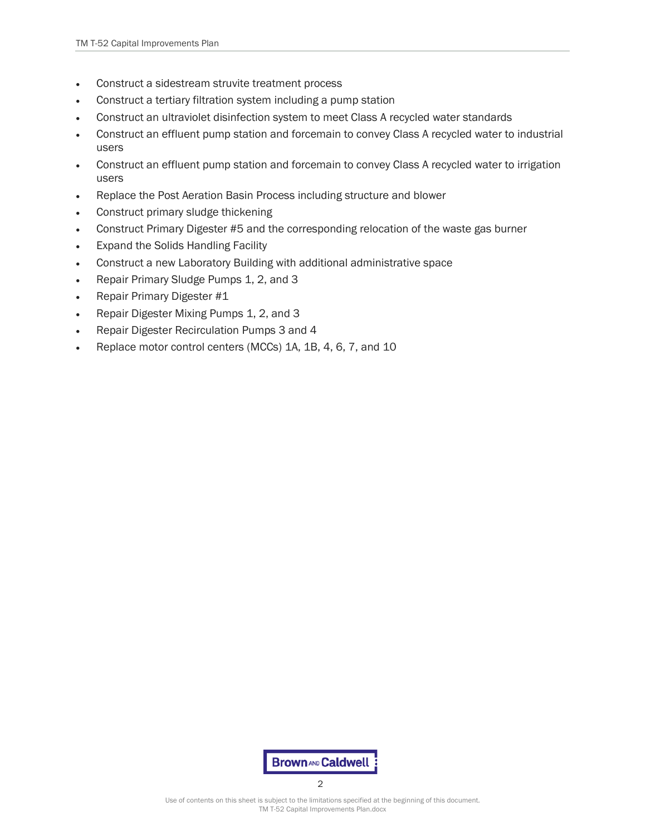- Construct a sidestream struvite treatment process
- Construct a tertiary filtration system including a pump station
- Construct an ultraviolet disinfection system to meet Class A recycled water standards
- Construct an effluent pump station and forcemain to convey Class A recycled water to industrial users
- Construct an effluent pump station and forcemain to convey Class A recycled water to irrigation users
- Replace the Post Aeration Basin Process including structure and blower
- Construct primary sludge thickening
- Construct Primary Digester #5 and the corresponding relocation of the waste gas burner
- Expand the Solids Handling Facility
- Construct a new Laboratory Building with additional administrative space
- Repair Primary Sludge Pumps 1, 2, and 3
- Repair Primary Digester #1
- Repair Digester Mixing Pumps 1, 2, and 3
- Repair Digester Recirculation Pumps 3 and 4
- Replace motor control centers (MCCs) 1A, 1B, 4, 6, 7, and 10



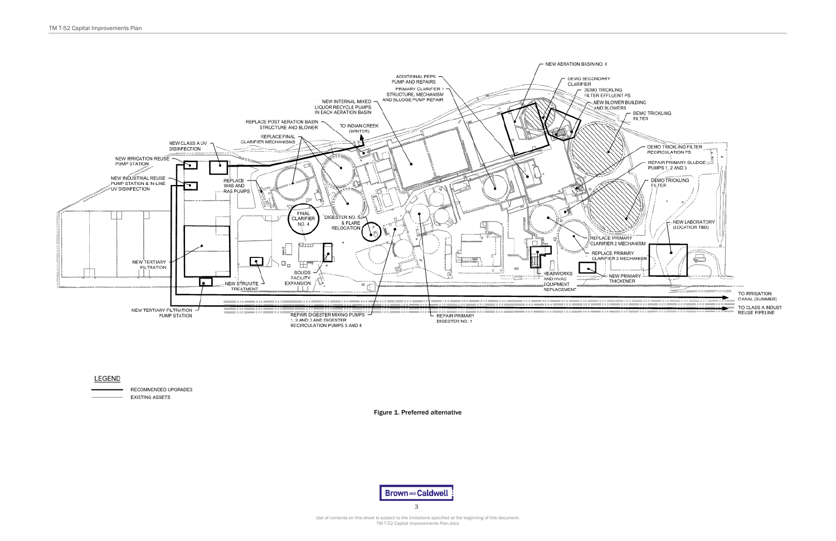

#### **LEGEND**

<span id="page-3-0"></span>

3

Figure 1. Preferred alternative

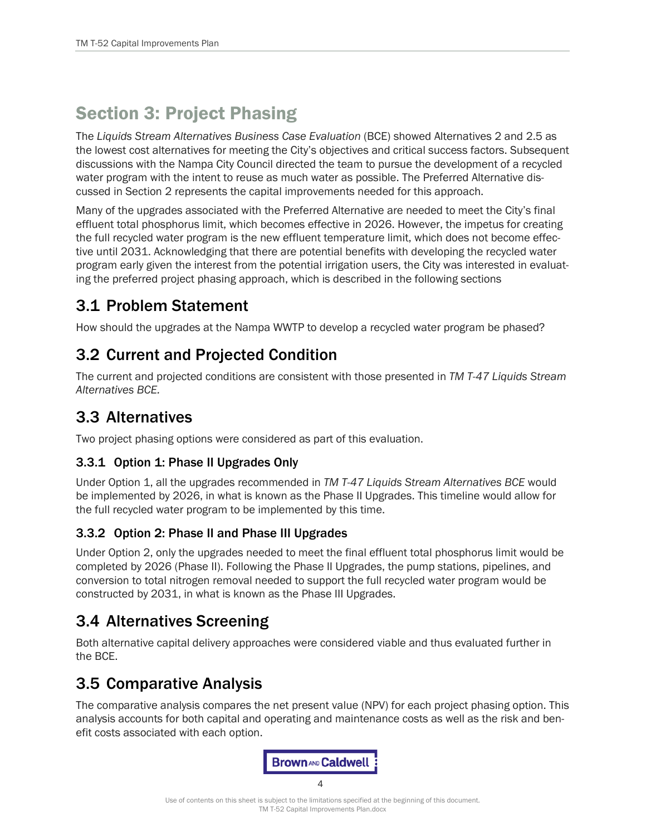# Section 3: Project Phasing

The *Liquids Stream Alternatives Business Case Evaluation* (BCE) showed Alternatives 2 and 2.5 as the lowest cost alternatives for meeting the City's objectives and critical success factors. Subsequent discussions with the Nampa City Council directed the team to pursue the development of a recycled water program with the intent to reuse as much water as possible. The Preferred Alternative discussed in Section 2 represents the capital improvements needed for this approach.

Many of the upgrades associated with the Preferred Alternative are needed to meet the City's final effluent total phosphorus limit, which becomes effective in 2026. However, the impetus for creating the full recycled water program is the new effluent temperature limit, which does not become effective until 2031. Acknowledging that there are potential benefits with developing the recycled water program early given the interest from the potential irrigation users, the City was interested in evaluating the preferred project phasing approach, which is described in the following sections

## 3.1 Problem Statement

How should the upgrades at the Nampa WWTP to develop a recycled water program be phased?

## 3.2 Current and Projected Condition

The current and projected conditions are consistent with those presented in *TM T-47 Liquids Stream Alternatives BCE.*

## 3.3 Alternatives

Two project phasing options were considered as part of this evaluation.

## 3.3.1 Option 1: Phase II Upgrades Only

Under Option 1, all the upgrades recommended in *TM T-47 Liquids Stream Alternatives BCE* would be implemented by 2026, in what is known as the Phase II Upgrades. This timeline would allow for the full recycled water program to be implemented by this time.

## 3.3.2 Option 2: Phase II and Phase III Upgrades

Under Option 2, only the upgrades needed to meet the final effluent total phosphorus limit would be completed by 2026 (Phase II). Following the Phase II Upgrades, the pump stations, pipelines, and conversion to total nitrogen removal needed to support the full recycled water program would be constructed by 2031, in what is known as the Phase III Upgrades.

## 3.4 Alternatives Screening

Both alternative capital delivery approaches were considered viable and thus evaluated further in the BCE.

## 3.5 Comparative Analysis

The comparative analysis compares the net present value (NPV) for each project phasing option. This analysis accounts for both capital and operating and maintenance costs as well as the risk and benefit costs associated with each option.



 $\Delta$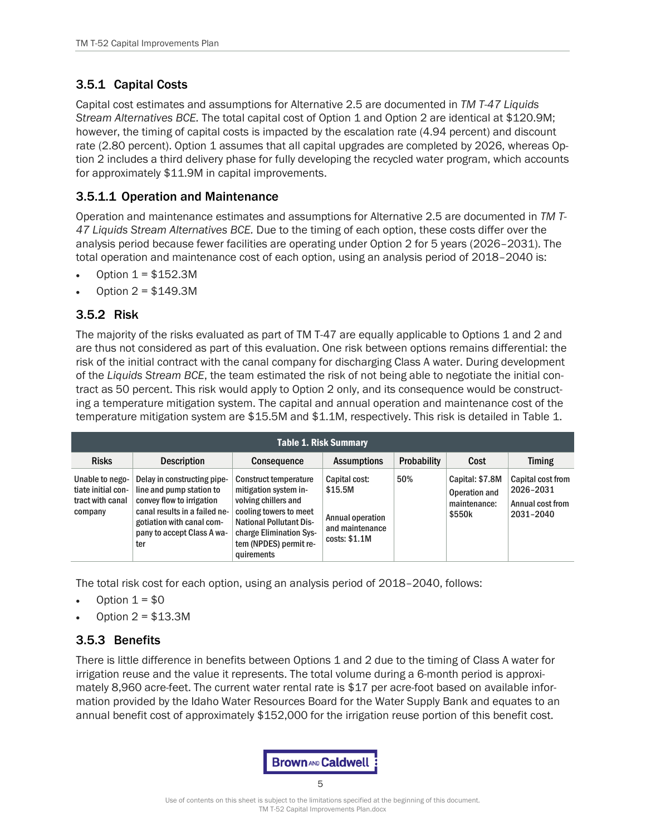## 3.5.1 Capital Costs

Capital cost estimates and assumptions for Alternative 2.5 are documented in *TM T-47 Liquids Stream Alternatives BCE.* The total capital cost of Option 1 and Option 2 are identical at \$120.9M; however, the timing of capital costs is impacted by the escalation rate (4.94 percent) and discount rate (2.80 percent). Option 1 assumes that all capital upgrades are completed by 2026, whereas Option 2 includes a third delivery phase for fully developing the recycled water program, which accounts for approximately \$11.9M in capital improvements.

#### 3.5.1.1 Operation and Maintenance

Operation and maintenance estimates and assumptions for Alternative 2.5 are documented in *TM T-47 Liquids Stream Alternatives BCE.* Due to the timing of each option, these costs differ over the analysis period because fewer facilities are operating under Option 2 for 5 years (2026–2031). The total operation and maintenance cost of each option, using an analysis period of 2018–2040 is:

- Option  $1 = $152.3M$
- Option 2 = \$149.3M

#### 3.5.2 Risk

The majority of the risks evaluated as part of TM T-47 are equally applicable to Options 1 and 2 and are thus not considered as part of this evaluation. One risk between options remains differential: the risk of the initial contract with the canal company for discharging Class A water. During development of the *Liquids Stream BCE*, the team estimated the risk of not being able to negotiate the initial contract as 50 percent. This risk would apply to Option 2 only, and its consequence would be constructing a temperature mitigation system. The capital and annual operation and maintenance cost of the temperature mitigation system are \$15.5M and \$1.1M, respectively. This risk is detailed in [Table 1.](#page-5-0)

<span id="page-5-0"></span>

| <b>Table 1. Risk Summary</b>                                         |                                                                                                                                                                                         |                                                                                                                                                                                                              |                                                                                  |             |                                                            |                                                                 |  |  |  |  |  |  |  |
|----------------------------------------------------------------------|-----------------------------------------------------------------------------------------------------------------------------------------------------------------------------------------|--------------------------------------------------------------------------------------------------------------------------------------------------------------------------------------------------------------|----------------------------------------------------------------------------------|-------------|------------------------------------------------------------|-----------------------------------------------------------------|--|--|--|--|--|--|--|
| <b>Risks</b>                                                         | <b>Description</b>                                                                                                                                                                      | <b>Consequence</b>                                                                                                                                                                                           | <b>Assumptions</b>                                                               | Probability | Cost                                                       | <b>Timing</b>                                                   |  |  |  |  |  |  |  |
| Unable to nego-<br>tiate initial con-<br>tract with canal<br>company | Delay in constructing pipe-<br>line and pump station to<br>convey flow to irrigation<br>canal results in a failed ne-<br>gotiation with canal com-<br>pany to accept Class A wa-<br>ter | <b>Construct temperature</b><br>mitigation system in-<br>volving chillers and<br>cooling towers to meet<br><b>National Pollutant Dis-</b><br>charge Elimination Sys-<br>tem (NPDES) permit re-<br>quirements | Capital cost:<br>\$15.5M<br>Annual operation<br>and maintenance<br>costs: \$1.1M | 50%         | Capital: \$7.8M<br>Operation and<br>maintenance:<br>\$550k | Capital cost from<br>2026-2031<br>Annual cost from<br>2031-2040 |  |  |  |  |  |  |  |

The total risk cost for each option, using an analysis period of 2018–2040, follows:

- Option  $1 = $0$
- Option  $2 = $13.3M$

#### 3.5.3 Benefits

There is little difference in benefits between Options 1 and 2 due to the timing of Class A water for irrigation reuse and the value it represents. The total volume during a 6-month period is approximately 8,960 acre-feet. The current water rental rate is \$17 per acre-foot based on available information provided by the Idaho Water Resources Board for the Water Supply Bank and equates to an annual benefit cost of approximately \$152,000 for the irrigation reuse portion of this benefit cost.



Use of contents on this sheet is subject to the limitations specified at the beginning of this document. TM T-52 Capital Improvements Plan.docx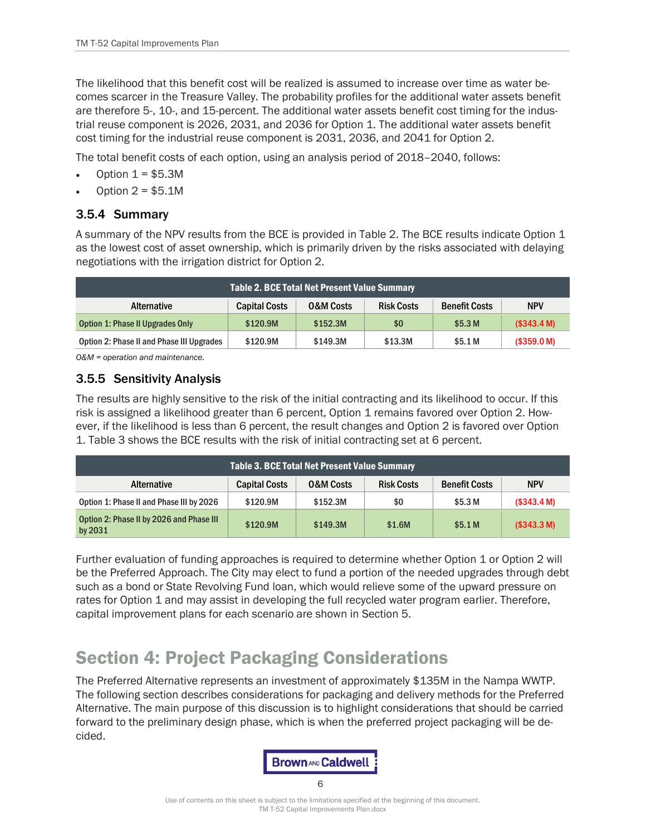The likelihood that this benefit cost will be realized is assumed to increase over time as water becomes scarcer in the Treasure Valley. The probability profiles for the additional water assets benefit are therefore 5-, 10-, and 15-percent. The additional water assets benefit cost timing for the industrial reuse component is 2026, 2031, and 2036 for Option 1. The additional water assets benefit cost timing for the industrial reuse component is 2031, 2036, and 2041 for Option 2.

The total benefit costs of each option, using an analysis period of 2018–2040, follows:

- Option  $1 = $5.3M$
- Option  $2 = $5.1M$

#### 3.5.4 Summary

A summary of the NPV results from the BCE is provided i[n Table 2.](#page-6-0) The BCE results indicate Option 1 as the lowest cost of asset ownership, which is primarily driven by the risks associated with delaying negotiations with the irrigation district for Option 2.

<span id="page-6-0"></span>

| Table 2. BCE Total Net Present Value Summary |                      |                      |                   |                      |             |  |  |  |  |  |  |
|----------------------------------------------|----------------------|----------------------|-------------------|----------------------|-------------|--|--|--|--|--|--|
| Alternative                                  | <b>Capital Costs</b> | <b>O&amp;M Costs</b> | <b>Risk Costs</b> | <b>Benefit Costs</b> | <b>NPV</b>  |  |  |  |  |  |  |
| Option 1: Phase II Upgrades Only             | \$120.9M             | \$152.3M             | \$0               | \$5.3 <sub>M</sub>   | (S343.4 M)  |  |  |  |  |  |  |
| Option 2: Phase II and Phase III Upgrades    | \$120.9M             | \$149.3M             | \$13.3M           | \$5.1 M              | (\$359.0 M) |  |  |  |  |  |  |

*O&M = operation and maintenance.*

#### 3.5.5 Sensitivity Analysis

The results are highly sensitive to the risk of the initial contracting and its likelihood to occur. If this risk is assigned a likelihood greater than 6 percent, Option 1 remains favored over Option 2. However, if the likelihood is less than 6 percent, the result changes and Option 2 is favored over Option 1. [Table 3](#page-6-1) shows the BCE results with the risk of initial contracting set at 6 percent.

<span id="page-6-1"></span>

| <b>Table 3. BCE Total Net Present Value Summary</b> |                      |                      |                   |                      |             |  |  |  |  |  |  |
|-----------------------------------------------------|----------------------|----------------------|-------------------|----------------------|-------------|--|--|--|--|--|--|
| Alternative                                         | <b>Capital Costs</b> | <b>O&amp;M Costs</b> | <b>Risk Costs</b> | <b>Benefit Costs</b> | <b>NPV</b>  |  |  |  |  |  |  |
| Option 1: Phase II and Phase III by 2026            | \$120.9M             | \$152.3M             | \$0               | \$5.3 M              | (\$343.4 M) |  |  |  |  |  |  |
| Option 2: Phase II by 2026 and Phase III<br>by 2031 | \$120.9M             | \$149.3M             | \$1.6M            | \$5.1 <sub>M</sub>   | (\$343.3 M) |  |  |  |  |  |  |

Further evaluation of funding approaches is required to determine whether Option 1 or Option 2 will be the Preferred Approach. The City may elect to fund a portion of the needed upgrades through debt such as a bond or State Revolving Fund loan, which would relieve some of the upward pressure on rates for Option 1 and may assist in developing the full recycled water program earlier. Therefore, capital improvement plans for each scenario are shown in Section 5.

## Section 4: Project Packaging Considerations

The Preferred Alternative represents an investment of approximately \$135M in the Nampa WWTP. The following section describes considerations for packaging and delivery methods for the Preferred Alternative. The main purpose of this discussion is to highlight considerations that should be carried forward to the preliminary design phase, which is when the preferred project packaging will be decided.

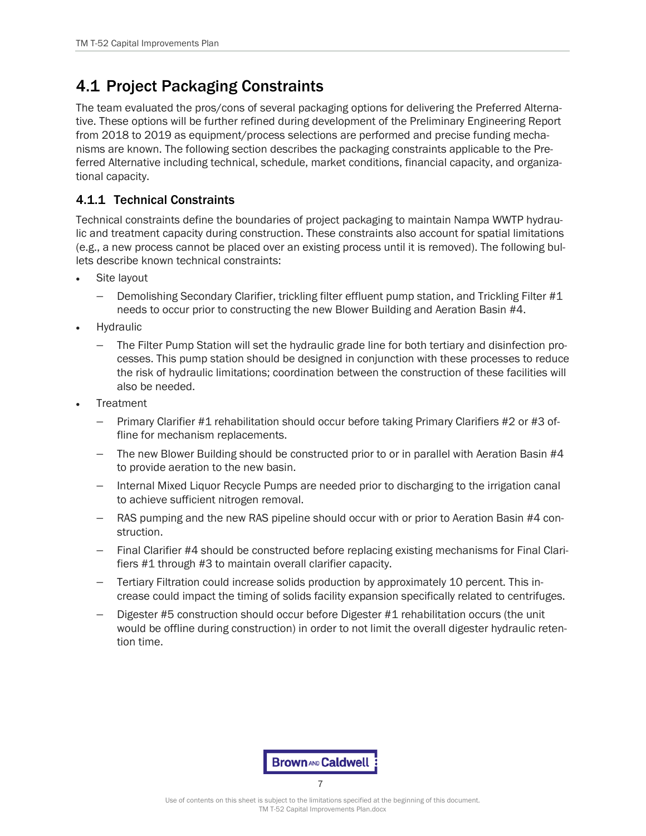## 4.1 Project Packaging Constraints

The team evaluated the pros/cons of several packaging options for delivering the Preferred Alternative. These options will be further refined during development of the Preliminary Engineering Report from 2018 to 2019 as equipment/process selections are performed and precise funding mechanisms are known. The following section describes the packaging constraints applicable to the Preferred Alternative including technical, schedule, market conditions, financial capacity, and organizational capacity.

#### 4.1.1 Technical Constraints

Technical constraints define the boundaries of project packaging to maintain Nampa WWTP hydraulic and treatment capacity during construction. These constraints also account for spatial limitations (e.g., a new process cannot be placed over an existing process until it is removed). The following bullets describe known technical constraints:

- Site layout
	- − Demolishing Secondary Clarifier, trickling filter effluent pump station, and Trickling Filter #1 needs to occur prior to constructing the new Blower Building and Aeration Basin #4.
- **Hydraulic** 
	- − The Filter Pump Station will set the hydraulic grade line for both tertiary and disinfection processes. This pump station should be designed in conjunction with these processes to reduce the risk of hydraulic limitations; coordination between the construction of these facilities will also be needed.
- **Treatment** 
	- − Primary Clarifier #1 rehabilitation should occur before taking Primary Clarifiers #2 or #3 offline for mechanism replacements.
	- − The new Blower Building should be constructed prior to or in parallel with Aeration Basin #4 to provide aeration to the new basin.
	- − Internal Mixed Liquor Recycle Pumps are needed prior to discharging to the irrigation canal to achieve sufficient nitrogen removal.
	- − RAS pumping and the new RAS pipeline should occur with or prior to Aeration Basin #4 construction.
	- − Final Clarifier #4 should be constructed before replacing existing mechanisms for Final Clarifiers #1 through #3 to maintain overall clarifier capacity.
	- − Tertiary Filtration could increase solids production by approximately 10 percent. This increase could impact the timing of solids facility expansion specifically related to centrifuges.
	- Digester #5 construction should occur before Digester #1 rehabilitation occurs (the unit would be offline during construction) in order to not limit the overall digester hydraulic retention time.

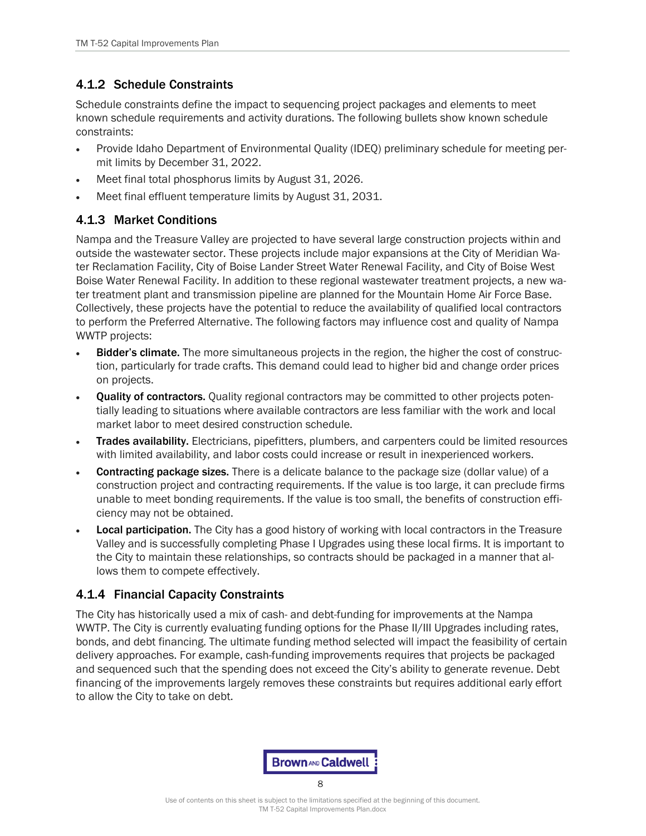## 4.1.2 Schedule Constraints

Schedule constraints define the impact to sequencing project packages and elements to meet known schedule requirements and activity durations. The following bullets show known schedule constraints:

- Provide Idaho Department of Environmental Quality (IDEQ) preliminary schedule for meeting permit limits by December 31, 2022.
- Meet final total phosphorus limits by August 31, 2026.
- Meet final effluent temperature limits by August 31, 2031.

### 4.1.3 Market Conditions

Nampa and the Treasure Valley are projected to have several large construction projects within and outside the wastewater sector. These projects include major expansions at the City of Meridian Water Reclamation Facility, City of Boise Lander Street Water Renewal Facility, and City of Boise West Boise Water Renewal Facility. In addition to these regional wastewater treatment projects, a new water treatment plant and transmission pipeline are planned for the Mountain Home Air Force Base. Collectively, these projects have the potential to reduce the availability of qualified local contractors to perform the Preferred Alternative. The following factors may influence cost and quality of Nampa WWTP projects:

- **Bidder's climate.** The more simultaneous projects in the region, the higher the cost of construction, particularly for trade crafts. This demand could lead to higher bid and change order prices on projects.
- Quality of contractors. Quality regional contractors may be committed to other projects potentially leading to situations where available contractors are less familiar with the work and local market labor to meet desired construction schedule.
- Trades availability. Electricians, pipefitters, plumbers, and carpenters could be limited resources with limited availability, and labor costs could increase or result in inexperienced workers.
- Contracting package sizes. There is a delicate balance to the package size (dollar value) of a construction project and contracting requirements. If the value is too large, it can preclude firms unable to meet bonding requirements. If the value is too small, the benefits of construction efficiency may not be obtained.
- **Local participation.** The City has a good history of working with local contractors in the Treasure Valley and is successfully completing Phase I Upgrades using these local firms. It is important to the City to maintain these relationships, so contracts should be packaged in a manner that allows them to compete effectively.

### 4.1.4 Financial Capacity Constraints

The City has historically used a mix of cash- and debt-funding for improvements at the Nampa WWTP. The City is currently evaluating funding options for the Phase II/III Upgrades including rates, bonds, and debt financing. The ultimate funding method selected will impact the feasibility of certain delivery approaches. For example, cash-funding improvements requires that projects be packaged and sequenced such that the spending does not exceed the City's ability to generate revenue. Debt financing of the improvements largely removes these constraints but requires additional early effort to allow the City to take on debt.

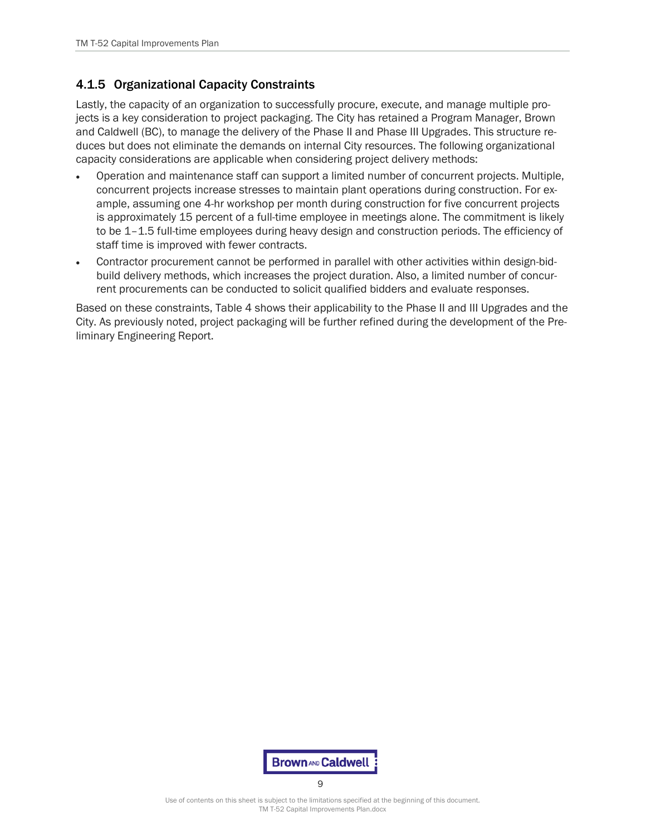#### 4.1.5 Organizational Capacity Constraints

Lastly, the capacity of an organization to successfully procure, execute, and manage multiple projects is a key consideration to project packaging. The City has retained a Program Manager, Brown and Caldwell (BC), to manage the delivery of the Phase II and Phase III Upgrades. This structure reduces but does not eliminate the demands on internal City resources. The following organizational capacity considerations are applicable when considering project delivery methods:

- Operation and maintenance staff can support a limited number of concurrent projects. Multiple, concurrent projects increase stresses to maintain plant operations during construction. For example, assuming one 4-hr workshop per month during construction for five concurrent projects is approximately 15 percent of a full-time employee in meetings alone. The commitment is likely to be 1–1.5 full-time employees during heavy design and construction periods. The efficiency of staff time is improved with fewer contracts.
- Contractor procurement cannot be performed in parallel with other activities within design-bidbuild delivery methods, which increases the project duration. Also, a limited number of concurrent procurements can be conducted to solicit qualified bidders and evaluate responses.

Based on these constraints, [Table 4](#page-10-0) shows their applicability to the Phase II and III Upgrades and the City. As previously noted, project packaging will be further refined during the development of the Preliminary Engineering Report.



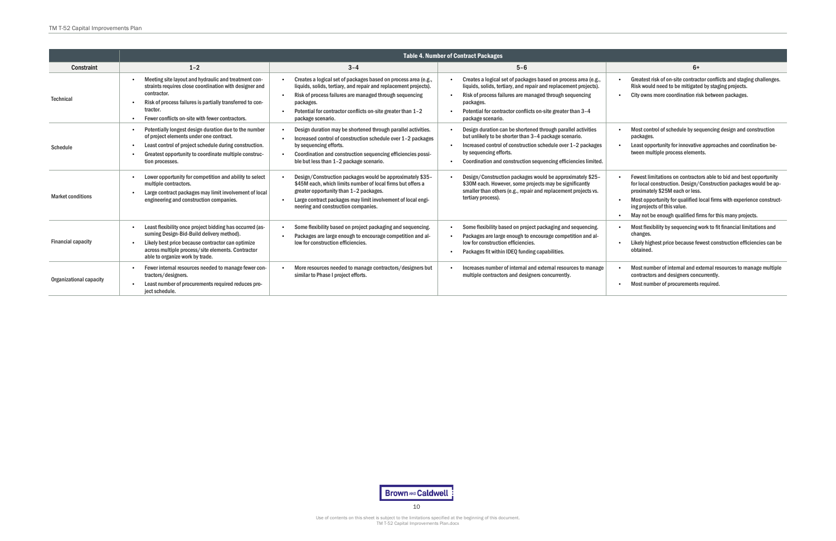<span id="page-10-0"></span>

|                           | <b>Table 4. Number of Contract Packages</b>                                                                                                                                                                                                               |                                                                                                                                                                                                                                                                                                |                                                                                                                                                                                                                                                                                                             |                                                                                                                                                                                                               |  |  |  |  |  |  |  |  |  |
|---------------------------|-----------------------------------------------------------------------------------------------------------------------------------------------------------------------------------------------------------------------------------------------------------|------------------------------------------------------------------------------------------------------------------------------------------------------------------------------------------------------------------------------------------------------------------------------------------------|-------------------------------------------------------------------------------------------------------------------------------------------------------------------------------------------------------------------------------------------------------------------------------------------------------------|---------------------------------------------------------------------------------------------------------------------------------------------------------------------------------------------------------------|--|--|--|--|--|--|--|--|--|
| <b>Constraint</b>         | $1 - 2$                                                                                                                                                                                                                                                   | $3 - 4$                                                                                                                                                                                                                                                                                        | $5 - 6$                                                                                                                                                                                                                                                                                                     | $6+$                                                                                                                                                                                                          |  |  |  |  |  |  |  |  |  |
| <b>Technical</b>          | Meeting site layout and hydraulic and treatment con-<br>straints requires close coordination with designer and<br>contractor.<br>Risk of process failures is partially transferred to con-<br>tractor.<br>Fewer conflicts on-site with fewer contractors. | Creates a logical set of packages based on process area (e.g.,<br>liquids, solids, tertiary, and repair and replacement projects).<br>Risk of process failures are managed through sequencing<br>packages.<br>Potential for contractor conflicts on-site greater than 1-2<br>package scenario. | Creates a logical set of packages based on process area (e.g.,<br>liquids, solids, tertiary, and repair and replacement projects).<br>Risk of process failures are managed through sequencing<br>$\bullet$<br>packages.<br>Potential for contractor conflicts on-site greater than 3-4<br>package scenario. | Greatest risk of on-site contrac<br>Risk would need to be mitigate<br>City owns more coordination ri                                                                                                          |  |  |  |  |  |  |  |  |  |
| <b>Schedule</b>           | Potentially longest design duration due to the number<br>of project elements under one contract.<br>Least control of project schedule during construction.<br>Greatest opportunity to coordinate multiple construc-<br>tion processes.                    | Design duration may be shortened through parallel activities.<br>Increased control of construction schedule over 1-2 packages<br>by sequencing efforts.<br>Coordination and construction sequencing efficiencies possi-<br>ble but less than 1-2 package scenario.                             | Design duration can be shortened through parallel activities<br>but unlikely to be shorter than 3-4 package scenario.<br>Increased control of construction schedule over 1-2 packages<br>by sequencing efforts.<br>Coordination and construction sequencing efficiencies limited.                           | Most control of schedule by se<br>packages.<br>Least opportunity for innovativ<br>tween multiple process elemer                                                                                               |  |  |  |  |  |  |  |  |  |
| <b>Market conditions</b>  | Lower opportunity for competition and ability to select<br>multiple contractors.<br>Large contract packages may limit involvement of local<br>engineering and construction companies.                                                                     | Design/Construction packages would be approximately \$35-<br>\$45M each, which limits number of local firms but offers a<br>greater opportunity than 1-2 packages.<br>Large contract packages may limit involvement of local engi-<br>neering and construction companies.                      | Design/Construction packages would be approximately \$25-<br>\$30M each. However, some projects may be significantly<br>smaller than others (e.g., repair and replacement projects vs.<br>tertiary process).                                                                                                | <b>Fewest limitations on contract</b><br>for local construction. Design/<br>proximately \$25M each or less<br>Most opportunity for qualified<br>ing projects of this value.<br>May not be enough qualified fi |  |  |  |  |  |  |  |  |  |
| <b>Financial capacity</b> | Least flexibility once project bidding has occurred (as-<br>suming Design-Bid-Build delivery method).<br>Likely best price because contractor can optimize<br>across multiple process/site elements. Contractor<br>able to organize work by trade.        | Some flexibility based on project packaging and sequencing.<br>Packages are large enough to encourage competition and al-<br>low for construction efficiencies.                                                                                                                                | Some flexibility based on project packaging and sequencing.<br>Packages are large enough to encourage competition and al-<br>low for construction efficiencies.<br>Packages fit within IDEQ funding capabilities.                                                                                           | Most flexibility by sequencing<br>changes.<br>Likely highest price because fe<br>obtained.                                                                                                                    |  |  |  |  |  |  |  |  |  |
| Organizational capacity   | Fewer internal resources needed to manage fewer con-<br>tractors/designers.<br>Least number of procurements required reduces pro-<br>ject schedule.                                                                                                       | More resources needed to manage contractors/designers but<br>similar to Phase I project efforts.                                                                                                                                                                                               | Increases number of internal and external resources to manage<br>multiple contractors and designers concurrently.                                                                                                                                                                                           | Most number of internal and ex<br>contractors and designers con<br>Most number of procurements                                                                                                                |  |  |  |  |  |  |  |  |  |



- Greatest risk of on-site contractor conflicts and staging challenges. Risk would need to be mitigated by staging projects.
- City owns more coordination risk between packages.
- Most control of schedule by sequencing design and construction packages.
- Least opportunity for innovative approaches and coordination between multiple process elements.
- Fewest limitations on contractors able to bid and best opportunity for local construction. Design/Construction packages would be approximately \$25M each or less.
- Most opportunity for qualified local firms with experience constructing projects of this value.
- May not be enough qualified firms for this many projects.
- Most flexibility by sequencing work to fit financial limitations and changes.
- Likely highest price because fewest construction efficiencies can be obtained.
- Most number of internal and external resources to manage multiple contractors and designers concurrently.
- Most number of procurements required.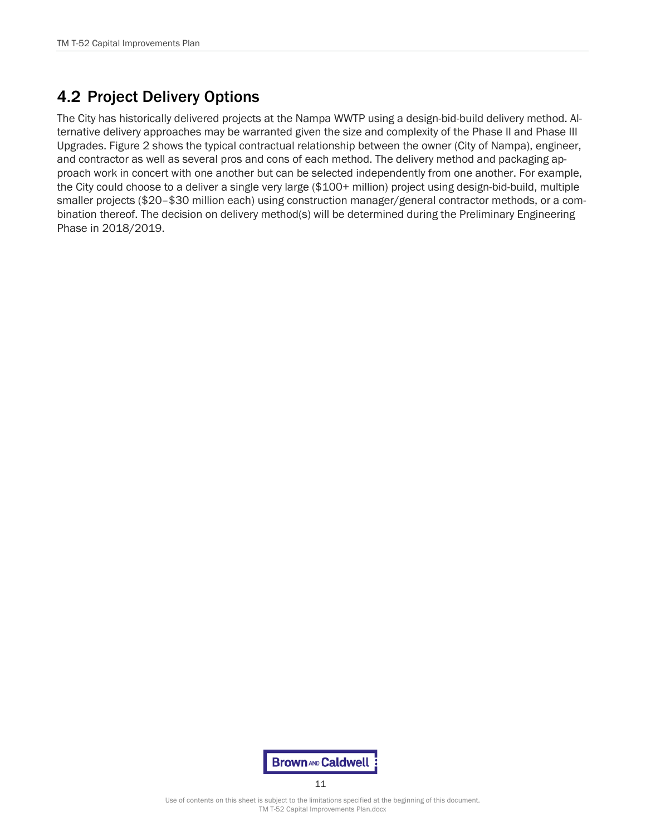## 4.2 Project Delivery Options

The City has historically delivered projects at the Nampa WWTP using a design-bid-build delivery method. Alternative delivery approaches may be warranted given the size and complexity of the Phase II and Phase III Upgrades. Figure 2 shows the typical contractual relationship between the owner (City of Nampa), engineer, and contractor as well as several pros and cons of each method. The delivery method and packaging approach work in concert with one another but can be selected independently from one another. For example, the City could choose to a deliver a single very large (\$100+ million) project using design-bid-build, multiple smaller projects (\$20–\$30 million each) using construction manager/general contractor methods, or a combination thereof. The decision on delivery method(s) will be determined during the Preliminary Engineering Phase in 2018/2019.



Use of contents on this sheet is subject to the limitations specified at the beginning of this document. TM T-52 Capital Improvements Plan.docx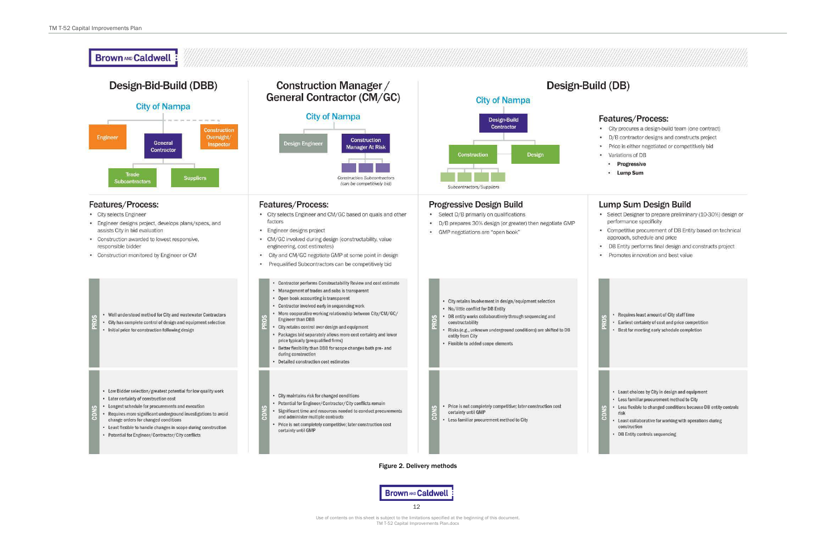**Brown AND Caldwell** 12

Use of contents on this sheet is subject to the limitations specified at the beginning of this document. TM T-52 Capital Improvements Plan.docx

#### Features/Process:

• City procures a design-build team (one contract) • D/B contractor designs and constructs project • Price is either negotiated or competitively bid • Variations of DB

- Progressive
- Lump Sum

#### Lump Sum Design Build

• Select Designer to prepare preliminary (10-30%) design or performance specificity

• Competitive procurement of DB Entity based on technical approach, schedule and price

• DB Entity performs final design and constructs project

· Promotes innovation and best value

- Requires least amount of City staff time
- Earliest certainty of cost and price competition • Best for meeting early schedule completion

- . Least choices by City in design and equipment
- Less familiar procurement method to City
- Less flexible to changed conditions because DB entity controls risk
- Least collaborative for working with operations during construction
- DB Entity controls sequencing

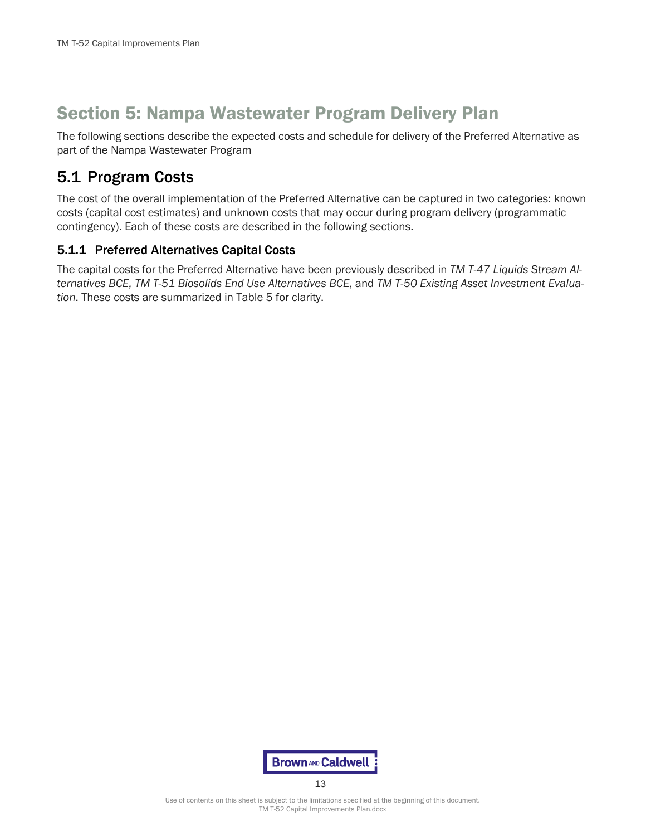# Section 5: Nampa Wastewater Program Delivery Plan

The following sections describe the expected costs and schedule for delivery of the Preferred Alternative as part of the Nampa Wastewater Program

## 5.1 Program Costs

The cost of the overall implementation of the Preferred Alternative can be captured in two categories: known costs (capital cost estimates) and unknown costs that may occur during program delivery (programmatic contingency). Each of these costs are described in the following sections.

### 5.1.1 Preferred Alternatives Capital Costs

The capital costs for the Preferred Alternative have been previously described in *TM T-47 Liquids Stream Alternatives BCE, TM T-51 Biosolids End Use Alternatives BCE*, and *TM T-50 Existing Asset Investment Evaluation*. These costs are summarized in [Table 5](#page-14-0) for clarity.



Use of contents on this sheet is subject to the limitations specified at the beginning of this document. TM T-52 Capital Improvements Plan.docx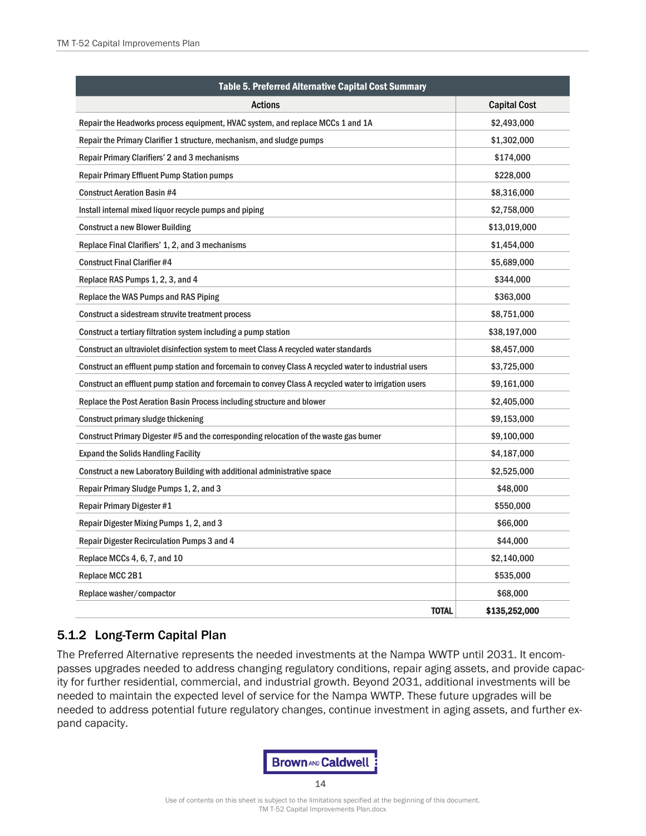<span id="page-14-0"></span>

| Table 5. Preferred Alternative Capital Cost Summary                                                   |                     |  |  |  |  |  |  |  |  |
|-------------------------------------------------------------------------------------------------------|---------------------|--|--|--|--|--|--|--|--|
| <b>Actions</b>                                                                                        | <b>Capital Cost</b> |  |  |  |  |  |  |  |  |
| Repair the Headworks process equipment, HVAC system, and replace MCCs 1 and 1A                        | \$2,493,000         |  |  |  |  |  |  |  |  |
| Repair the Primary Clarifier 1 structure, mechanism, and sludge pumps                                 | \$1,302,000         |  |  |  |  |  |  |  |  |
| <b>Repair Primary Clarifiers' 2 and 3 mechanisms</b>                                                  | \$174,000           |  |  |  |  |  |  |  |  |
| <b>Repair Primary Effluent Pump Station pumps</b>                                                     | \$228,000           |  |  |  |  |  |  |  |  |
| <b>Construct Aeration Basin #4</b>                                                                    | \$8,316,000         |  |  |  |  |  |  |  |  |
| Install internal mixed liquor recycle pumps and piping                                                | \$2,758,000         |  |  |  |  |  |  |  |  |
| <b>Construct a new Blower Building</b>                                                                | \$13,019,000        |  |  |  |  |  |  |  |  |
| Replace Final Clarifiers' 1, 2, and 3 mechanisms                                                      | \$1,454,000         |  |  |  |  |  |  |  |  |
| <b>Construct Final Clarifier #4</b>                                                                   | \$5,689,000         |  |  |  |  |  |  |  |  |
| Replace RAS Pumps 1, 2, 3, and 4                                                                      | \$344,000           |  |  |  |  |  |  |  |  |
| Replace the WAS Pumps and RAS Piping                                                                  | \$363,000           |  |  |  |  |  |  |  |  |
| Construct a sidestream struvite treatment process                                                     | \$8,751,000         |  |  |  |  |  |  |  |  |
| Construct a tertiary filtration system including a pump station                                       | \$38,197,000        |  |  |  |  |  |  |  |  |
| Construct an ultraviolet disinfection system to meet Class A recycled water standards                 | \$8,457,000         |  |  |  |  |  |  |  |  |
| Construct an effluent pump station and forcemain to convey Class A recycled water to industrial users | \$3,725,000         |  |  |  |  |  |  |  |  |
| Construct an effluent pump station and forcemain to convey Class A recycled water to irrigation users | \$9,161,000         |  |  |  |  |  |  |  |  |
| Replace the Post Aeration Basin Process including structure and blower                                | \$2,405,000         |  |  |  |  |  |  |  |  |
| Construct primary sludge thickening                                                                   | \$9,153,000         |  |  |  |  |  |  |  |  |
| Construct Primary Digester #5 and the corresponding relocation of the waste gas burner                | \$9,100,000         |  |  |  |  |  |  |  |  |
| <b>Expand the Solids Handling Facility</b>                                                            | \$4,187,000         |  |  |  |  |  |  |  |  |
| Construct a new Laboratory Building with additional administrative space                              | \$2,525,000         |  |  |  |  |  |  |  |  |
| Repair Primary Sludge Pumps 1, 2, and 3                                                               | \$48,000            |  |  |  |  |  |  |  |  |
| <b>Repair Primary Digester #1</b>                                                                     | \$550,000           |  |  |  |  |  |  |  |  |
| Repair Digester Mixing Pumps 1, 2, and 3                                                              | \$66,000            |  |  |  |  |  |  |  |  |
| Repair Digester Recirculation Pumps 3 and 4                                                           | \$44,000            |  |  |  |  |  |  |  |  |
| Replace MCCs 4, 6, 7, and 10                                                                          | \$2,140,000         |  |  |  |  |  |  |  |  |
| Replace MCC 2B1                                                                                       | \$535,000           |  |  |  |  |  |  |  |  |
| Replace washer/compactor                                                                              | \$68,000            |  |  |  |  |  |  |  |  |
| <b>TOTAL</b>                                                                                          | \$135,252,000       |  |  |  |  |  |  |  |  |

#### 5.1.2 Long-Term Capital Plan

The Preferred Alternative represents the needed investments at the Nampa WWTP until 2031. It encompasses upgrades needed to address changing regulatory conditions, repair aging assets, and provide capacity for further residential, commercial, and industrial growth. Beyond 2031, additional investments will be needed to maintain the expected level of service for the Nampa WWTP. These future upgrades will be needed to address potential future regulatory changes, continue investment in aging assets, and further expand capacity.

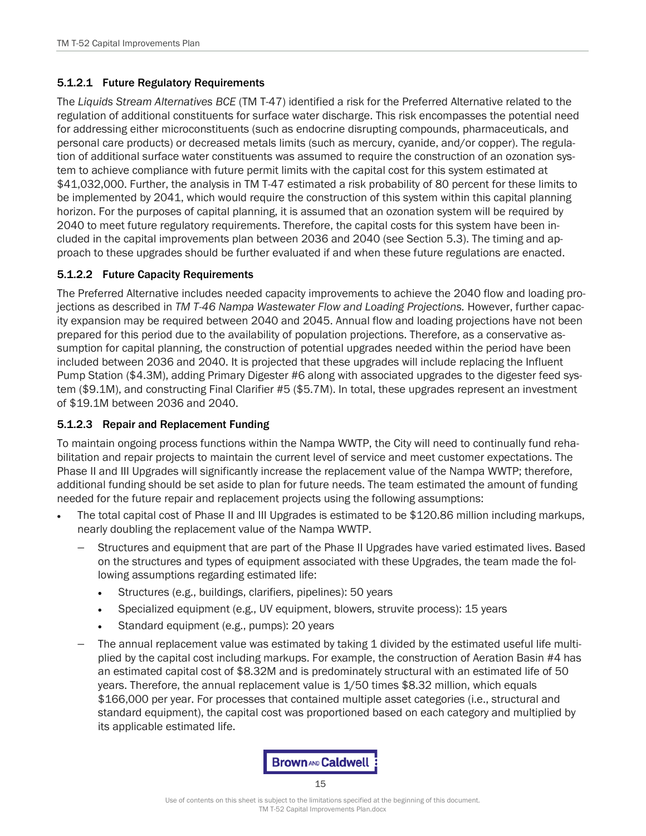#### 5.1.2.1 Future Regulatory Requirements

The *Liquids Stream Alternatives BCE* (TM T-47) identified a risk for the Preferred Alternative related to the regulation of additional constituents for surface water discharge. This risk encompasses the potential need for addressing either microconstituents (such as endocrine disrupting compounds, pharmaceuticals, and personal care products) or decreased metals limits (such as mercury, cyanide, and/or copper). The regulation of additional surface water constituents was assumed to require the construction of an ozonation system to achieve compliance with future permit limits with the capital cost for this system estimated at \$41,032,000. Further, the analysis in TM T-47 estimated a risk probability of 80 percent for these limits to be implemented by 2041, which would require the construction of this system within this capital planning horizon. For the purposes of capital planning, it is assumed that an ozonation system will be required by 2040 to meet future regulatory requirements. Therefore, the capital costs for this system have been included in the capital improvements plan between 2036 and 2040 (see Section 5.3). The timing and approach to these upgrades should be further evaluated if and when these future regulations are enacted.

#### 5.1.2.2 Future Capacity Requirements

The Preferred Alternative includes needed capacity improvements to achieve the 2040 flow and loading projections as described in *TM T-46 Nampa Wastewater Flow and Loading Projections.* However, further capacity expansion may be required between 2040 and 2045. Annual flow and loading projections have not been prepared for this period due to the availability of population projections. Therefore, as a conservative assumption for capital planning, the construction of potential upgrades needed within the period have been included between 2036 and 2040. It is projected that these upgrades will include replacing the Influent Pump Station (\$4.3M), adding Primary Digester #6 along with associated upgrades to the digester feed system (\$9.1M), and constructing Final Clarifier #5 (\$5.7M). In total, these upgrades represent an investment of \$19.1M between 2036 and 2040.

#### 5.1.2.3 Repair and Replacement Funding

To maintain ongoing process functions within the Nampa WWTP, the City will need to continually fund rehabilitation and repair projects to maintain the current level of service and meet customer expectations. The Phase II and III Upgrades will significantly increase the replacement value of the Nampa WWTP; therefore, additional funding should be set aside to plan for future needs. The team estimated the amount of funding needed for the future repair and replacement projects using the following assumptions:

- The total capital cost of Phase II and III Upgrades is estimated to be \$120.86 million including markups, nearly doubling the replacement value of the Nampa WWTP.
	- Structures and equipment that are part of the Phase II Upgrades have varied estimated lives. Based on the structures and types of equipment associated with these Upgrades, the team made the following assumptions regarding estimated life:
		- Structures (e.g., buildings, clarifiers, pipelines): 50 years
		- Specialized equipment (e.g., UV equipment, blowers, struvite process): 15 years
		- Standard equipment (e.g., pumps): 20 years
	- − The annual replacement value was estimated by taking 1 divided by the estimated useful life multiplied by the capital cost including markups. For example, the construction of Aeration Basin #4 has an estimated capital cost of \$8.32M and is predominately structural with an estimated life of 50 years. Therefore, the annual replacement value is 1/50 times \$8.32 million, which equals \$166,000 per year. For processes that contained multiple asset categories (i.e., structural and standard equipment), the capital cost was proportioned based on each category and multiplied by its applicable estimated life.

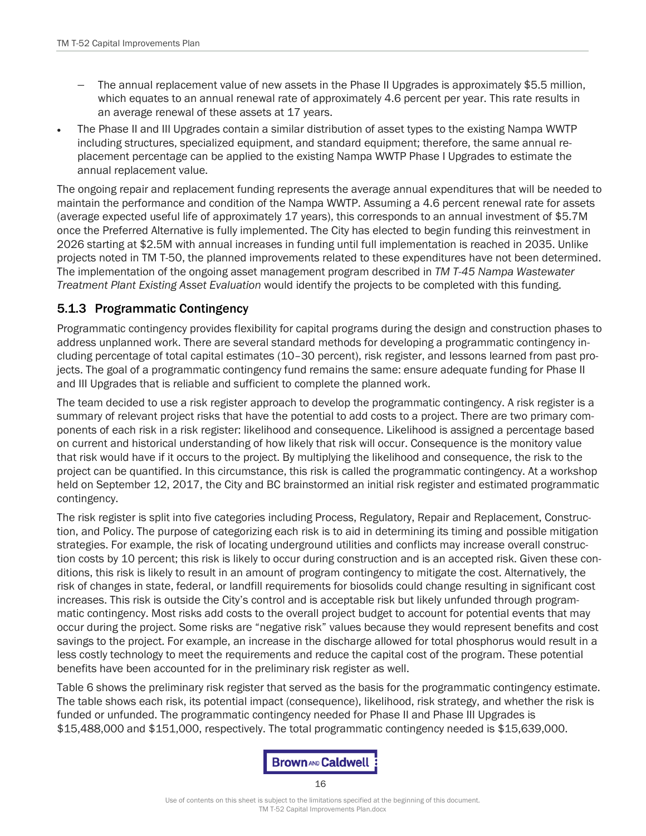- The annual replacement value of new assets in the Phase II Upgrades is approximately \$5.5 million, which equates to an annual renewal rate of approximately 4.6 percent per year. This rate results in an average renewal of these assets at 17 years.
- The Phase II and III Upgrades contain a similar distribution of asset types to the existing Nampa WWTP including structures, specialized equipment, and standard equipment; therefore, the same annual replacement percentage can be applied to the existing Nampa WWTP Phase I Upgrades to estimate the annual replacement value.

The ongoing repair and replacement funding represents the average annual expenditures that will be needed to maintain the performance and condition of the Nampa WWTP. Assuming a 4.6 percent renewal rate for assets (average expected useful life of approximately 17 years), this corresponds to an annual investment of \$5.7M once the Preferred Alternative is fully implemented. The City has elected to begin funding this reinvestment in 2026 starting at \$2.5M with annual increases in funding until full implementation is reached in 2035. Unlike projects noted in TM T-50, the planned improvements related to these expenditures have not been determined. The implementation of the ongoing asset management program described in *TM T-45 Nampa Wastewater Treatment Plant Existing Asset Evaluation* would identify the projects to be completed with this funding.

#### 5.1.3 Programmatic Contingency

Programmatic contingency provides flexibility for capital programs during the design and construction phases to address unplanned work. There are several standard methods for developing a programmatic contingency including percentage of total capital estimates (10–30 percent), risk register, and lessons learned from past projects. The goal of a programmatic contingency fund remains the same: ensure adequate funding for Phase II and III Upgrades that is reliable and sufficient to complete the planned work.

The team decided to use a risk register approach to develop the programmatic contingency. A risk register is a summary of relevant project risks that have the potential to add costs to a project. There are two primary components of each risk in a risk register: likelihood and consequence. Likelihood is assigned a percentage based on current and historical understanding of how likely that risk will occur. Consequence is the monitory value that risk would have if it occurs to the project. By multiplying the likelihood and consequence, the risk to the project can be quantified. In this circumstance, this risk is called the programmatic contingency. At a workshop held on September 12, 2017, the City and BC brainstormed an initial risk register and estimated programmatic contingency.

The risk register is split into five categories including Process, Regulatory, Repair and Replacement, Construction, and Policy. The purpose of categorizing each risk is to aid in determining its timing and possible mitigation strategies. For example, the risk of locating underground utilities and conflicts may increase overall construction costs by 10 percent; this risk is likely to occur during construction and is an accepted risk. Given these conditions, this risk is likely to result in an amount of program contingency to mitigate the cost. Alternatively, the risk of changes in state, federal, or landfill requirements for biosolids could change resulting in significant cost increases. This risk is outside the City's control and is acceptable risk but likely unfunded through programmatic contingency. Most risks add costs to the overall project budget to account for potential events that may occur during the project. Some risks are "negative risk" values because they would represent benefits and cost savings to the project. For example, an increase in the discharge allowed for total phosphorus would result in a less costly technology to meet the requirements and reduce the capital cost of the program. These potential benefits have been accounted for in the preliminary risk register as well.

[Table 6](#page-17-0) shows the preliminary risk register that served as the basis for the programmatic contingency estimate. The table shows each risk, its potential impact (consequence), likelihood, risk strategy, and whether the risk is funded or unfunded. The programmatic contingency needed for Phase II and Phase III Upgrades is \$15,488,000 and \$151,000, respectively. The total programmatic contingency needed is \$15,639,000.

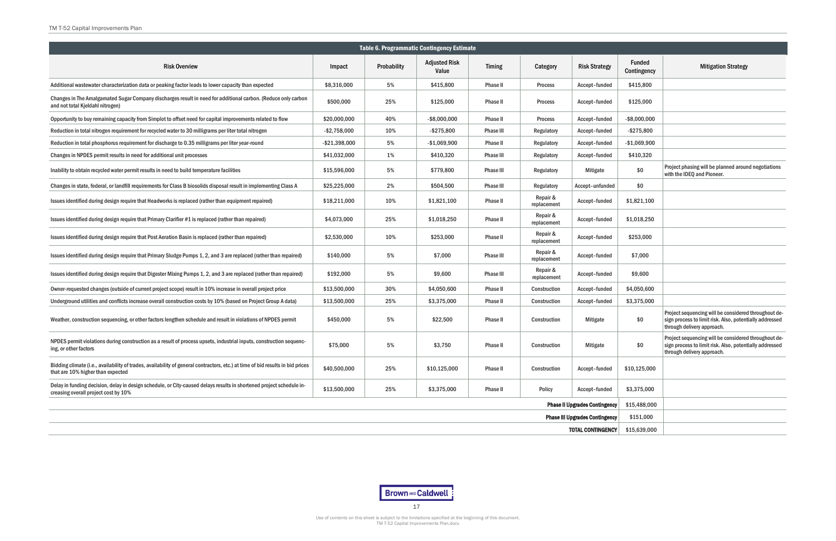



TM T-52 Capital Improvements Plan.docx

<span id="page-17-0"></span>

| Table 6. Programmatic Contingency Estimate                                                                                                                          |                                                      |             |                               |                  |                         |                                       |                              |                                                                                                                                               |  |  |  |  |
|---------------------------------------------------------------------------------------------------------------------------------------------------------------------|------------------------------------------------------|-------------|-------------------------------|------------------|-------------------------|---------------------------------------|------------------------------|-----------------------------------------------------------------------------------------------------------------------------------------------|--|--|--|--|
| <b>Risk Overview</b>                                                                                                                                                |                                                      | Probability | <b>Adjusted Risk</b><br>Value | <b>Timing</b>    | Category                | <b>Risk Strategy</b>                  | <b>Funded</b><br>Contingency | <b>Mitigation Strategy</b>                                                                                                                    |  |  |  |  |
| Additional was tewater characterization data or peaking factor leads to lower capacity than expected                                                                | \$8,316,000                                          | 5%          | \$415,800                     | Phase II         | <b>Process</b>          | Accept-funded                         | \$415,800                    |                                                                                                                                               |  |  |  |  |
| Changes in The Amalgamated Sugar Company discharges result in need for additional carbon. (Reduce only carbon<br>and not total Kjeldahl nitrogen)                   | \$500,000                                            | 25%         | \$125,000                     | <b>Phase II</b>  | <b>Process</b>          | Accept-funded                         | \$125,000                    |                                                                                                                                               |  |  |  |  |
| Opportunity to buy remaining capacity from Simplot to offset need for capital improvements related to flow                                                          | \$20,000,000                                         | 40%         | $-$ \$8,000,000               | <b>Phase II</b>  | <b>Process</b>          | Accept-funded                         | $-$ \$8,000,000              |                                                                                                                                               |  |  |  |  |
| Reduction in total nitrogen requirement for recycled water to 30 milligrams per liter total nitrogen                                                                | $-$2,758,000$                                        | 10%         | $-$ \$275,800                 | <b>Phase III</b> | Regulatory              | Accept-funded                         | $-$ \$275,800                |                                                                                                                                               |  |  |  |  |
| Reduction in total phosphorus requirement for discharge to 0.35 milligrams per liter year-round                                                                     | $-$ \$21,398,000                                     | 5%          | $-$1,069,900$                 | <b>Phase II</b>  | Regulatory              | Accept-funded                         | $-$1,069,900$                |                                                                                                                                               |  |  |  |  |
| Changes in NPDES permit results in need for additional unit processes                                                                                               | \$41,032,000                                         | 1%          | \$410,320                     | <b>Phase III</b> | Regulatory              | Accept-funded                         | \$410,320                    |                                                                                                                                               |  |  |  |  |
| Inability to obtain recycled water permit results in need to build temperature facilities                                                                           | \$15,596,000                                         | 5%          | \$779,800                     | <b>Phase III</b> | Regulatory              | Mitigate                              | \$0                          | Project phasing will be planned around negotiations<br>with the IDEQ and Pioneer.                                                             |  |  |  |  |
| Changes in state, federal, or landfill requirements for Class B biosolids disposal result in implementing Class A                                                   | \$25,225,000                                         | 2%          | \$504,500                     | <b>Phase III</b> | Regulatory              | Accept-unfunded                       | \$0                          |                                                                                                                                               |  |  |  |  |
| Issues identified during design require that Headworks is replaced (rather than equipment repaired)                                                                 | \$18,211,000                                         | 10%         | \$1,821,100                   | <b>Phase II</b>  | Repair &<br>replacement | Accept-funded                         | \$1,821,100                  |                                                                                                                                               |  |  |  |  |
| Issues identified during design require that Primary Clarifier #1 is replaced (rather than repaired)                                                                | \$4,073,000                                          | 25%         | \$1,018,250                   | <b>Phase II</b>  | Repair &<br>replacement | Accept-funded                         | \$1,018,250                  |                                                                                                                                               |  |  |  |  |
| Issues identified during design require that Post Aeration Basin is replaced (rather than repaired)                                                                 | \$2,530,000                                          | 10%         | \$253,000                     | <b>Phase II</b>  | Repair &<br>replacement | Accept-funded                         | \$253,000                    |                                                                                                                                               |  |  |  |  |
| Issues identified during design require that Primary Sludge Pumps 1, 2, and 3 are replaced (rather than repaired)                                                   | \$140,000                                            | 5%          | \$7,000                       | <b>Phase III</b> | Repair &<br>replacement | Accept-funded                         | \$7,000                      |                                                                                                                                               |  |  |  |  |
| Issues identified during design require that Digester Mixing Pumps 1, 2, and 3 are replaced (rather than repaired)                                                  | \$192,000                                            | 5%          | \$9,600                       | <b>Phase III</b> | Repair &<br>replacement | Accept-funded                         | \$9,600                      |                                                                                                                                               |  |  |  |  |
| Owner-requested changes (outside of current project scope) result in 10% increase in overall project price                                                          | \$13,500,000                                         | 30%         | \$4,050,600                   | <b>Phase II</b>  | Construction            | Accept-funded                         | \$4,050,600                  |                                                                                                                                               |  |  |  |  |
| Underground utilities and conflicts increase overall construction costs by 10% (based on Project Group A data)                                                      | \$13,500,000                                         | 25%         | \$3,375,000                   | <b>Phase II</b>  | <b>Construction</b>     | Accept-funded                         | \$3,375,000                  |                                                                                                                                               |  |  |  |  |
| Weather, construction sequencing, or other factors lengthen schedule and result in violations of NPDES permit                                                       | \$450,000                                            | 5%          | \$22,500                      | <b>Phase II</b>  | <b>Construction</b>     | Mitigate                              | \$0                          | Project sequencing will be considered throughout de-<br>sign process to limit risk. Also, potentially addressed<br>through delivery approach. |  |  |  |  |
| NPDES permit violations during construction as a result of process upsets, industrial inputs, construction sequenc-<br>ing, or other factors                        | \$75,000                                             | 5%          | \$3,750                       | Phase II         | Construction            | Mitigate                              | \$0                          | Project sequencing will be considered throughout de-<br>sign process to limit risk. Also, potentially addressed<br>through delivery approach. |  |  |  |  |
| Bidding climate (i.e., availability of trades, availability of general contractors, etc.) at time of bid results in bid prices<br>that are 10% higher than expected | \$40,500,000                                         | 25%         | \$10,125,000                  | <b>Phase II</b>  | Construction            | Accept-funded                         | \$10,125,000                 |                                                                                                                                               |  |  |  |  |
| Delay in funding decision, delay in design schedule, or City-caused delays results in shortened project schedule in-<br>creasing overall project cost by 10%        | \$13,500,000                                         | 25%         | \$3,375,000                   | Phase II         | Policy                  | Accept-funded                         | \$3,375,000                  |                                                                                                                                               |  |  |  |  |
|                                                                                                                                                                     | <b>Phase II Upgrades Contingency</b><br>\$15,488,000 |             |                               |                  |                         |                                       |                              |                                                                                                                                               |  |  |  |  |
|                                                                                                                                                                     |                                                      |             |                               |                  |                         | <b>Phase III Upgrades Contingency</b> | \$151,000                    |                                                                                                                                               |  |  |  |  |
|                                                                                                                                                                     |                                                      |             |                               |                  |                         | <b>TOTAL CONTINGENCY</b>              | \$15,639,000                 |                                                                                                                                               |  |  |  |  |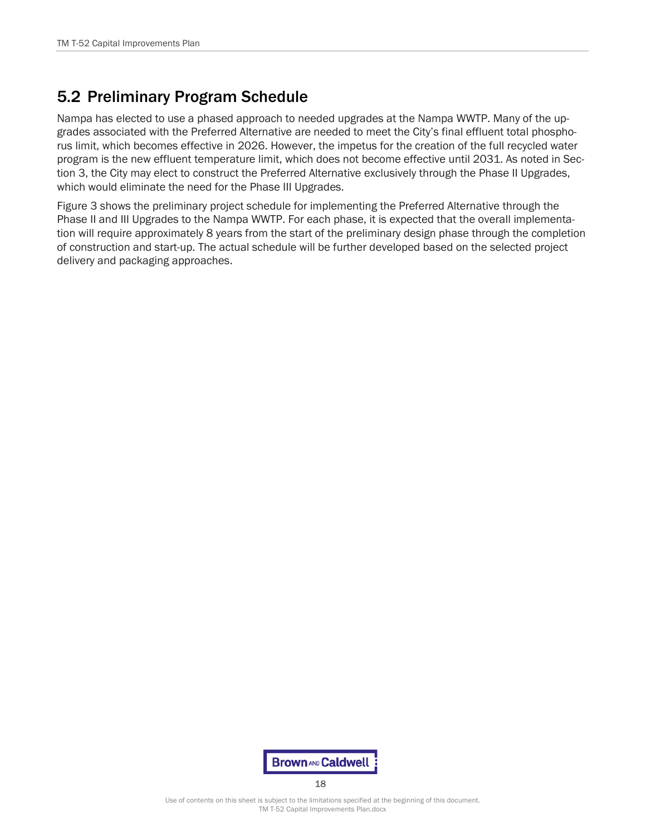## 5.2 Preliminary Program Schedule

Nampa has elected to use a phased approach to needed upgrades at the Nampa WWTP. Many of the upgrades associated with the Preferred Alternative are needed to meet the City's final effluent total phosphorus limit, which becomes effective in 2026. However, the impetus for the creation of the full recycled water program is the new effluent temperature limit, which does not become effective until 2031. As noted in Section 3, the City may elect to construct the Preferred Alternative exclusively through the Phase II Upgrades, which would eliminate the need for the Phase III Upgrades.

Figure 3 shows the preliminary project schedule for implementing the Preferred Alternative through the Phase II and III Upgrades to the Nampa WWTP. For each phase, it is expected that the overall implementation will require approximately 8 years from the start of the preliminary design phase through the completion of construction and start-up. The actual schedule will be further developed based on the selected project delivery and packaging approaches.

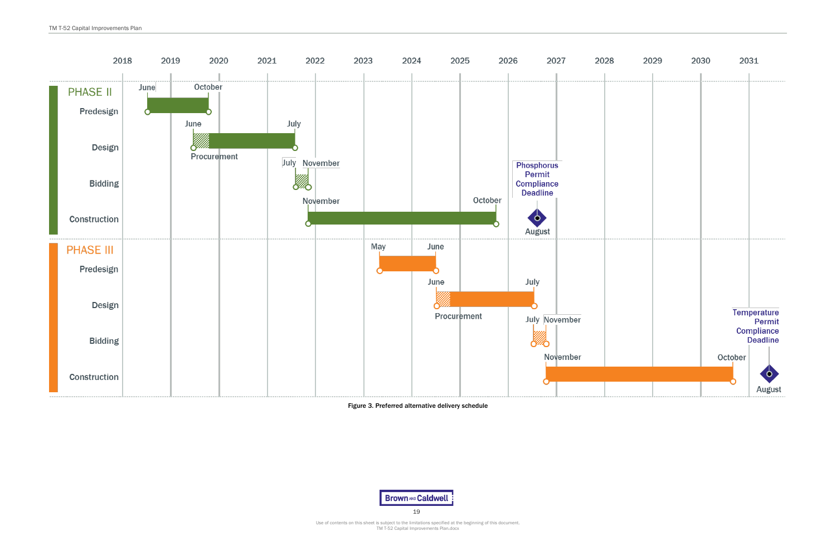



Use of contents on this sheet is subject to the limitations specified at the beginning of this document. TM T-52 Capital Improvements Plan.docx

#### Figure 3. Preferred alternative delivery schedule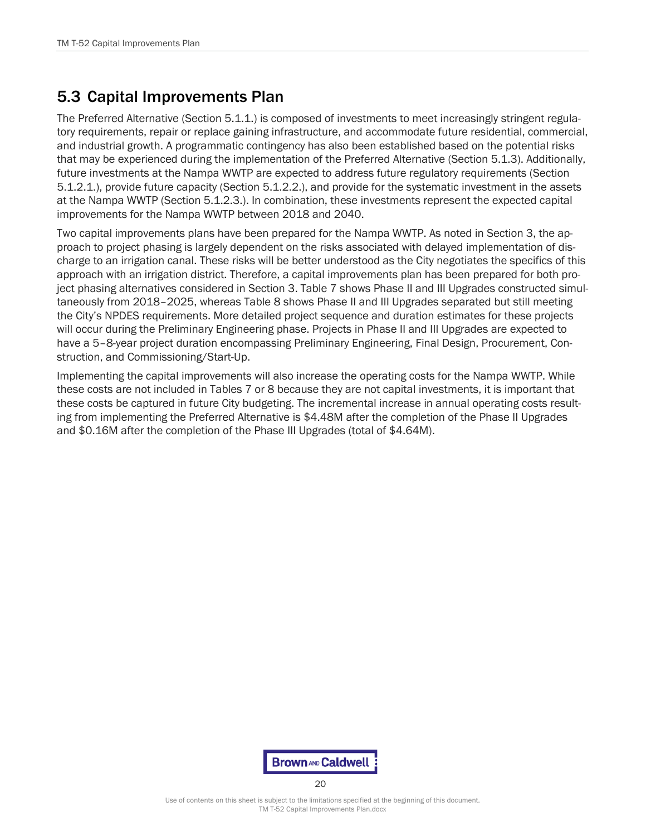## 5.3 Capital Improvements Plan

The Preferred Alternative (Section 5.1.1.) is composed of investments to meet increasingly stringent regulatory requirements, repair or replace gaining infrastructure, and accommodate future residential, commercial, and industrial growth. A programmatic contingency has also been established based on the potential risks that may be experienced during the implementation of the Preferred Alternative (Section 5.1.3). Additionally, future investments at the Nampa WWTP are expected to address future regulatory requirements (Section 5.1.2.1.), provide future capacity (Section 5.1.2.2.), and provide for the systematic investment in the assets at the Nampa WWTP (Section 5.1.2.3.). In combination, these investments represent the expected capital improvements for the Nampa WWTP between 2018 and 2040.

Two capital improvements plans have been prepared for the Nampa WWTP. As noted in Section 3, the approach to project phasing is largely dependent on the risks associated with delayed implementation of discharge to an irrigation canal. These risks will be better understood as the City negotiates the specifics of this approach with an irrigation district. Therefore, a capital improvements plan has been prepared for both project phasing alternatives considered in Section 3. [Table 7](#page-21-0) shows Phase II and III Upgrades constructed simultaneously from 2018–2025, whereas [Table 8](#page-21-1) shows Phase II and III Upgrades separated but still meeting the City's NPDES requirements. More detailed project sequence and duration estimates for these projects will occur during the Preliminary Engineering phase. Projects in Phase II and III Upgrades are expected to have a 5–8-year project duration encompassing Preliminary Engineering, Final Design, Procurement, Construction, and Commissioning/Start-Up.

Implementing the capital improvements will also increase the operating costs for the Nampa WWTP. While these costs are not included in Tables 7 or 8 because they are not capital investments, it is important that these costs be captured in future City budgeting. The incremental increase in annual operating costs resulting from implementing the Preferred Alternative is \$4.48M after the completion of the Phase II Upgrades and \$0.16M after the completion of the Phase III Upgrades (total of \$4.64M).

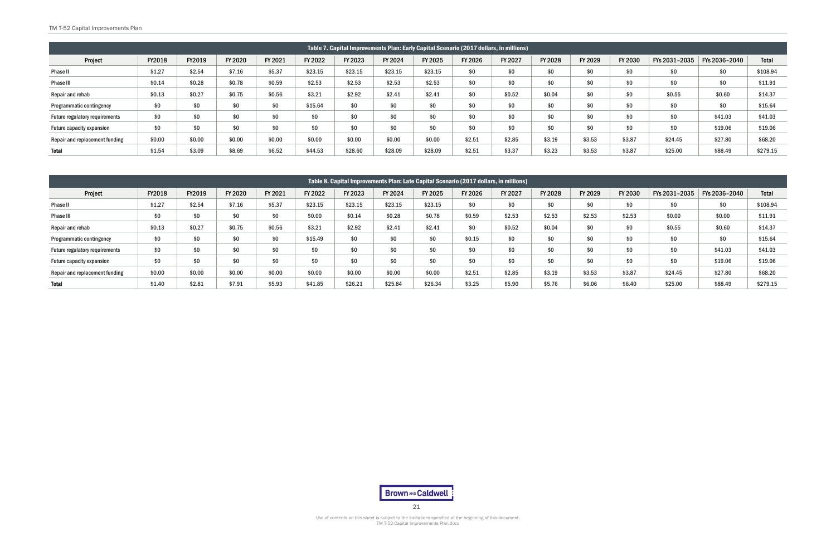<span id="page-21-0"></span>

| Table 7. Capital Improvements Plan: Early Capital Scenario (2017 dollars, in millions) |        |        |         |         |         |         |         |         |         |         |         |         |         |               |               |              |
|----------------------------------------------------------------------------------------|--------|--------|---------|---------|---------|---------|---------|---------|---------|---------|---------|---------|---------|---------------|---------------|--------------|
| Project                                                                                | FY2018 | FY2019 | FY 2020 | FY 2021 | FY 2022 | FY 2023 | FY 2024 | FY 2025 | FY 2026 | FY 2027 | FY 2028 | FY 2029 | FY 2030 | FYs 2031-2035 | FYs 2036-2040 | <b>Total</b> |
| Phase II                                                                               | \$1.27 | \$2.54 | \$7.16  | \$5.37  | \$23.15 | \$23.15 | \$23.15 | \$23.15 | \$0     | \$0     | \$0     | \$0     | \$0     | \$0           | \$0           | \$108.94     |
| Phase III                                                                              | \$0.14 | \$0.28 | \$0.78  | \$0.59  | \$2.53  | \$2.53  | \$2.53  | \$2.53  | \$0     | \$0     | \$0     | \$0     | \$0     | \$0           | \$0           | \$11.91      |
| Repair and rehab                                                                       | \$0.13 | \$0.27 | \$0.75  | \$0.56  | \$3.21  | \$2.92  | \$2.41  | \$2.41  | \$0     | \$0.52  | \$0.04  | \$0     | \$0     | \$0.55        | \$0.60        | \$14.37      |
| <b>Programmatic contingency</b>                                                        | \$0    | \$0    | \$0     | \$0     | \$15.64 | \$0     | \$0     | \$0     | \$0     | \$0     | \$0     | \$0     | \$0     | \$0           | \$0           | \$15.64      |
| Future regulatory requirements                                                         | \$0    |        | \$0     | \$0     | \$0     | \$0     | \$0     | \$0     | \$0     | \$0     | \$0     | \$0     | \$0     | \$0           | \$41.03       | \$41.03      |
| <b>Future capacity expansion</b>                                                       |        |        | \$0     | \$0     | \$0     | \$0     | \$0     | \$0     | \$0     | \$0     | \$0     | \$0     | \$0     | \$0           | \$19.06       | \$19.06      |
| Repair and replacement funding                                                         | \$0.00 | \$0.00 | \$0.00  | \$0.00  | \$0.00  | \$0.00  | \$0.00  | \$0.00  | \$2.51  | \$2.85  | \$3.19  | \$3.53  | \$3.87  | \$24.45       | \$27.80       | \$68.20      |
| <b>Total</b>                                                                           | \$1.54 | \$3.09 | \$8.69  | \$6.52  | \$44.53 | \$28.60 | \$28.09 | \$28.09 | \$2.51  | \$3.37  | \$3.23  | \$3.53  | \$3.87  | \$25.00       | \$88.49       | \$279.15     |

<span id="page-21-1"></span>

| Table 8. Capital Improvements Plan: Late Capital Scenario (2017 dollars, in millions) |        |        |         |         |         |         |         |         |         |         |         |         |         |               |               |              |
|---------------------------------------------------------------------------------------|--------|--------|---------|---------|---------|---------|---------|---------|---------|---------|---------|---------|---------|---------------|---------------|--------------|
| Project                                                                               | FY2018 | FY2019 | FY 2020 | FY 2021 | FY 2022 | FY 2023 | FY 2024 | FY 2025 | FY 2026 | FY 2027 | FY 2028 | FY 2029 | FY 2030 | FYs 2031-2035 | FYs 2036-2040 | <b>Total</b> |
| Phase II                                                                              | \$1.27 | \$2.54 | \$7.16  | \$5.37  | \$23.15 | \$23.15 | \$23.15 | \$23.15 | \$0     | \$0     | \$0     | \$0     | \$0     | \$0           | \$0           | \$108.94     |
| Phase III                                                                             | \$0    | \$0    | \$0     | \$0     | \$0.00  | \$0.14  | \$0.28  | \$0.78  | \$0.59  | \$2.53  | \$2.53  | \$2.53  | \$2.53  | \$0.00        | \$0.00        | \$11.91      |
| Repair and rehab                                                                      | \$0.13 | \$0.27 | \$0.75  | \$0.56  | \$3.21  | \$2.92  | \$2.41  | \$2.41  | \$0     | \$0.52  | \$0.04  | \$0     | \$0     | \$0.55        | \$0.60        | \$14.37      |
| Programmatic contingency                                                              | \$0    | \$0    | \$0     | \$0     | \$15.49 | \$0     | \$0     | \$0     | \$0.15  | \$0     | \$0     | \$0     | \$0     | \$0           | \$0           | \$15.64      |
| Future regulatory requirements                                                        | \$0    | \$0    | \$0     | \$0     | \$0     | \$0     | \$0     | \$0     | \$0     | \$0     | \$0     | \$0     | \$0     | \$0           | \$41.03       | \$41.03      |
| Future capacity expansion                                                             | \$0    | \$0    | \$0     | \$0     | \$0     | \$0     | \$0     | \$0     | \$0     | \$0     | \$0     | \$0     | \$0     | \$0           | \$19.06       | \$19.06      |
| Repair and replacement funding                                                        | \$0.00 | \$0.00 | \$0.00  | \$0.00  | \$0.00  | \$0.00  | \$0.00  | \$0.00  | \$2.51  | \$2.85  | \$3.19  | \$3.53  | \$3.87  | \$24.45       | \$27.80       | \$68.20      |
| <b>Total</b>                                                                          | \$1.40 | \$2.81 | \$7.91  | \$5.93  | \$41.85 | \$26.21 | \$25.84 | \$26.34 | \$3.25  | \$5.90  | \$5.76  | \$6.06  | \$6.40  | \$25.00       | \$88.49       | \$279.15     |